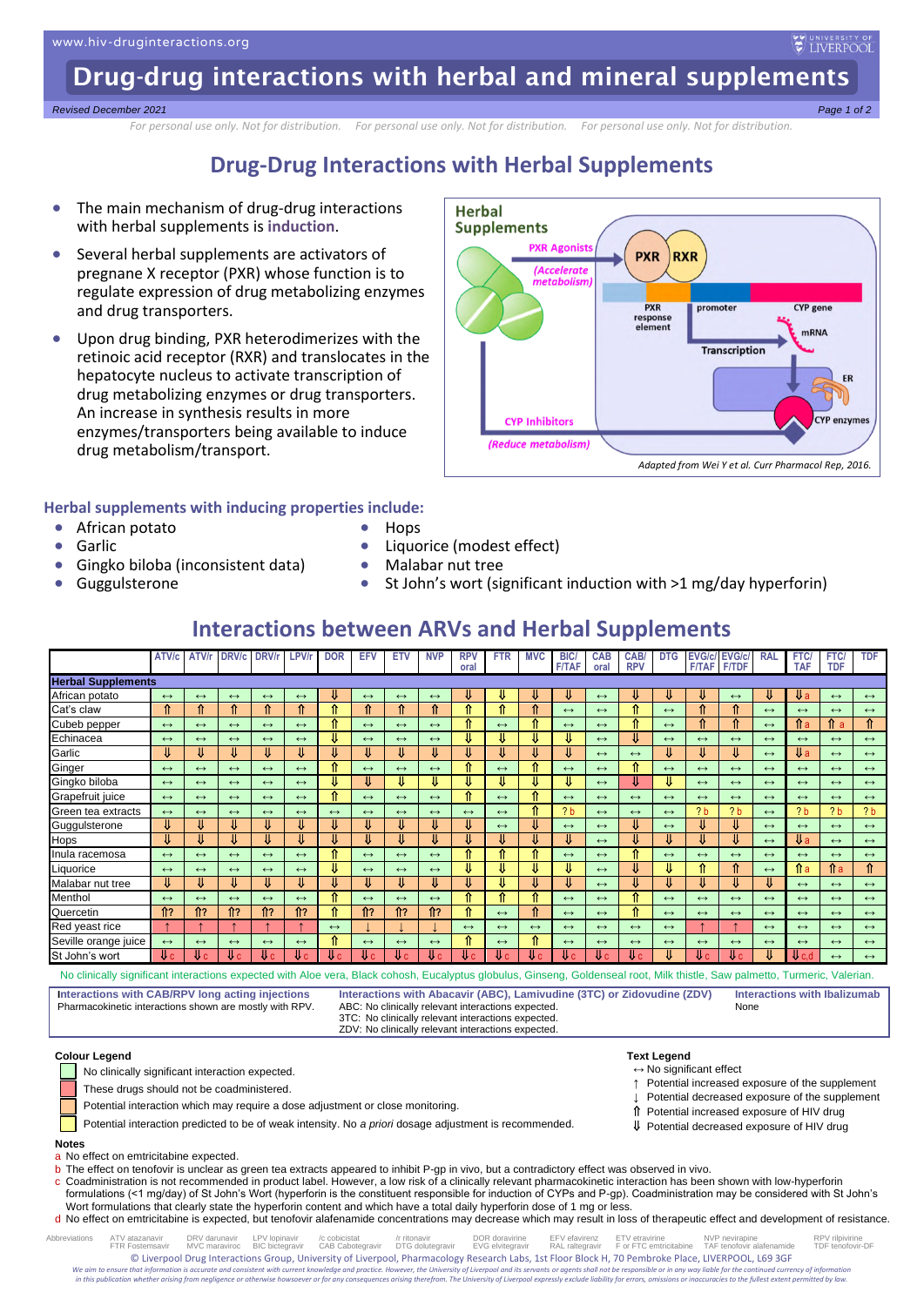Drug-drug interactions with herbal and mineral supplements

#### *Revised December 2021 Page 1 of 2*

*For personal use only. Not for distribution. For personal use only. Not for distribution. For personal use only. Not for distribution.*

### **Drug-Drug Interactions with Herbal Supplements**

- The main mechanism of drug-drug interactions with herbal supplements is **induction**.
- Several herbal supplements are activators of pregnane X receptor (PXR) whose function is to regulate expression of drug metabolizing enzymes and drug transporters.
- Upon drug binding, PXR heterodimerizes with the retinoic acid receptor (RXR) and translocates in the hepatocyte nucleus to activate transcription of drug metabolizing enzymes or drug transporters. An increase in synthesis results in more enzymes/transporters being available to induce drug metabolism/transport.



UNIVERSITY OF

### **Herbal supplements with inducing properties include:**

• African potato

• Garlic

- Hops
- Liquorice (modest effect)
- Malabar nut tree
- Gingko biloba (inconsistent data) • Guggulsterone
- St John's wort (significant induction with >1 mg/day hyperforin)

### **Interactions between ARVs and Herbal Supplements**

|                           | ATV/c                | ATV/r                | DRV/c                | DRV/r                | <b>LPV/</b>          | <b>DOR</b>        | EFV                  | ETV                  | <b>NVP</b>           | <b>RPV</b>        | <b>FTR</b>        | <b>MVC</b>        | <b>BIC</b>        | <b>CAB</b>        | CAB/              | <b>DTG</b>        | <b>EVG/c/</b>     | <b>EVG/c/</b>     | <b>RAL</b>        | FTC/              | FTC/              | <b>TDF</b>        |
|---------------------------|----------------------|----------------------|----------------------|----------------------|----------------------|-------------------|----------------------|----------------------|----------------------|-------------------|-------------------|-------------------|-------------------|-------------------|-------------------|-------------------|-------------------|-------------------|-------------------|-------------------|-------------------|-------------------|
|                           |                      |                      |                      |                      |                      |                   |                      |                      |                      | oral              |                   |                   | <b>F/TAF</b>      | oral              | <b>RPV</b>        |                   | <b>F/TAF</b>      | <b>F/TDF</b>      |                   | <b>TAF</b>        | <b>TDF</b>        |                   |
| <b>Herbal Supplements</b> |                      |                      |                      |                      |                      |                   |                      |                      |                      |                   |                   |                   |                   |                   |                   |                   |                   |                   |                   |                   |                   |                   |
| African potato            | $\leftrightarrow$    | $\leftrightarrow$    | $\leftrightarrow$    | $\leftrightarrow$    | $\leftrightarrow$    |                   | $\leftrightarrow$    | $\leftrightarrow$    | $\leftrightarrow$    | ⇓                 | ₩                 | ₩                 | ₩                 | $\leftrightarrow$ |                   |                   | ₩                 | $\leftrightarrow$ | ₩                 | ₩a                | $\leftrightarrow$ | $\leftrightarrow$ |
| Cat's claw                | ⇑                    | ⇑                    | ⇑                    | ⇑                    | ⇑                    | ^                 | ⇑                    | ⇑                    | ⇑                    | ⇑                 | ⇑                 | ⇑                 | $\leftrightarrow$ | $\leftrightarrow$ | ^                 | $\leftrightarrow$ | ⇑                 | ⇑                 | $\leftrightarrow$ | $\leftrightarrow$ | $\leftrightarrow$ | $\leftrightarrow$ |
| Cubeb pepper              | $\leftrightarrow$    | $\leftrightarrow$    | $\leftrightarrow$    | $\leftrightarrow$    | $\leftrightarrow$    | ^                 | $\leftrightarrow$    | $\leftrightarrow$    | $\leftrightarrow$    | ⇑                 | $\leftrightarrow$ | ⇑                 | $\leftrightarrow$ | $\leftrightarrow$ | Λ<br>Ш            | $\leftrightarrow$ | ⇑                 | ⇑                 | $\leftrightarrow$ | 1îa               | î а               | ⇑                 |
| Echinacea                 | $\leftrightarrow$    | $\leftrightarrow$    | $\leftrightarrow$    | $\leftrightarrow$    | $\leftrightarrow$    |                   | $\leftrightarrow$    | $\leftrightarrow$    | $\leftrightarrow$    | U                 | U                 | ⇓                 | ₩                 | $\leftrightarrow$ | ⇓                 | $\leftrightarrow$ | $\leftrightarrow$ | $\leftrightarrow$ | $\leftrightarrow$ | $\leftrightarrow$ | $\leftrightarrow$ | $\leftrightarrow$ |
| Garlic                    | ⇓                    | ⇓                    | U                    | ⇓                    | ⇓                    |                   | IJ                   | U                    | ⇓                    | U                 | U                 | ⇓                 | ⇓                 | $\leftrightarrow$ | $\leftrightarrow$ | ₩                 | ⇓                 | ⇓                 | $\leftrightarrow$ | Uа                | $\leftrightarrow$ | $\leftrightarrow$ |
| Ginger                    | $\leftrightarrow$    | $\leftrightarrow$    | $\leftrightarrow$    | $\leftrightarrow$    | $\leftrightarrow$    | ^                 | $\leftrightarrow$    | $\leftrightarrow$    | $\leftrightarrow$    | ⇑                 | $\leftrightarrow$ | ⇑                 | $\leftrightarrow$ | $\leftrightarrow$ | Λ                 | $\leftrightarrow$ | $\leftrightarrow$ | $\leftrightarrow$ | $\leftrightarrow$ | $\leftrightarrow$ | $\leftrightarrow$ | $\leftrightarrow$ |
| Gingko biloba             | $\leftrightarrow$    | $\leftrightarrow$    | $\leftrightarrow$    | $\leftrightarrow$    | $\leftrightarrow$    |                   |                      | ⇓                    | ⇓                    | ⇓                 | ⇓                 | ⇓                 | ₩                 | $\leftrightarrow$ | ⇓                 |                   | $\leftrightarrow$ | $\leftrightarrow$ | $\leftrightarrow$ | $\leftrightarrow$ | $\leftrightarrow$ | $\leftrightarrow$ |
| Grapefruit juice          | $\leftrightarrow$    | $\leftrightarrow$    | $\leftrightarrow$    | $\leftrightarrow$    | $\leftrightarrow$    | ^                 | $\leftrightarrow$    | $\leftrightarrow$    | $\leftrightarrow$    | ⇑                 | $\leftrightarrow$ | ⇑                 | $\leftrightarrow$ | $\leftrightarrow$ | $\leftrightarrow$ | $\leftrightarrow$ | $\leftrightarrow$ | $\leftrightarrow$ | $\leftrightarrow$ | $\leftrightarrow$ | $\leftrightarrow$ | $\leftrightarrow$ |
| Green tea extracts        | $\leftrightarrow$    | $\leftrightarrow$    | $\leftrightarrow$    | $\leftrightarrow$    | $\leftrightarrow$    | $\leftrightarrow$ | $\leftrightarrow$    | $\leftrightarrow$    | $\leftrightarrow$    | $\leftrightarrow$ | $\leftrightarrow$ | ⇑                 | 2 <sub>b</sub>    | $\leftrightarrow$ | $\leftrightarrow$ | $\leftrightarrow$ | 2 <sub>b</sub>    | 2 <sub>b</sub>    | $\leftrightarrow$ | 2 <sub>b</sub>    | 2 <sub>b</sub>    | 2 <sub>b</sub>    |
| Guggulsterone             | ⇓                    | ⇓                    | ⇓                    | ⇓                    | ⇓                    |                   |                      |                      | ⇓                    | ⇓                 | $\leftrightarrow$ | ⇓                 | $\leftrightarrow$ | $\leftrightarrow$ | ⇓                 | $\leftrightarrow$ | ⇓                 | ⇓                 | $\leftrightarrow$ | $\leftrightarrow$ | $\leftrightarrow$ | $\leftrightarrow$ |
| Hops                      | ⇓                    | ⇓                    | ⇓                    |                      | ⇓                    |                   |                      | ⇓                    | ⇓                    | η                 | ⇓                 | ⇓                 | ⇓                 | $\leftrightarrow$ | ⇓                 | ⇓                 | ⇓                 | ⇓                 | $\leftrightarrow$ | Uа                | $\leftrightarrow$ | $\leftrightarrow$ |
| Inula racemosa            | $\leftrightarrow$    | $\leftrightarrow$    | $\leftrightarrow$    | $\leftrightarrow$    | $\leftrightarrow$    | ^                 | $\leftrightarrow$    | $\leftrightarrow$    | $\leftrightarrow$    | ⇑                 | ⇑                 | ⇑                 | $\leftrightarrow$ | $\leftrightarrow$ | Л                 | $\leftrightarrow$ | $\leftrightarrow$ | $\leftrightarrow$ | $\leftrightarrow$ | $\leftrightarrow$ | $\leftrightarrow$ | $\leftrightarrow$ |
| Liquorice                 | $\leftrightarrow$    | $\leftrightarrow$    | $\leftrightarrow$    | $\leftrightarrow$    | $\leftrightarrow$    |                   | $\leftrightarrow$    | $\leftrightarrow$    | $\leftrightarrow$    | ⇓                 | ⇓                 | ₩                 | ₩                 | $\leftrightarrow$ | ⇓                 |                   | ⇑                 | ⇑                 | $\leftrightarrow$ | ↑îa               | ſtа               | ⇑                 |
| Malabar nut tree          | ⇓                    | ⇓                    | ⇓                    | ⇓                    | ⇓                    |                   | ⇓                    | ⇓                    | ⇓                    | U                 | U                 | ⇓                 | ⇓                 | $\leftrightarrow$ | ⇓                 | ⇓                 | ⇓                 | ⇓                 | ⇓                 | $\leftrightarrow$ | $\leftrightarrow$ | $\leftrightarrow$ |
| Menthol                   | $\leftrightarrow$    | $\leftrightarrow$    | $\leftrightarrow$    | $\leftrightarrow$    | $\leftrightarrow$    | ^                 | $\leftrightarrow$    | $\leftrightarrow$    | $\leftrightarrow$    | ⇑                 | ⇑                 | ⇑                 | $\leftrightarrow$ | $\leftrightarrow$ | Λ                 | $\leftrightarrow$ | $\leftrightarrow$ | $\leftrightarrow$ | $\leftrightarrow$ | $\leftrightarrow$ | $\leftrightarrow$ | $\leftrightarrow$ |
| Quercetin                 | $\hat{\mathbb{I}}$ ? | $\hat{\mathbb{I}}$ ? | $\mathbf{\hat{n}}$ ? | $\hat{\mathbb{1}}$ ? | $\hat{\mathbb{T}}$ ? | ^                 | $\hat{\mathbb{n}}$ ? | $\hat{\mathbb{T}}$ ? | $\hat{\mathbb{I}}$ ? | ⇑                 | $\leftrightarrow$ | ⇑                 | $\leftrightarrow$ | $\leftrightarrow$ | Λ                 | $\leftrightarrow$ | $\leftrightarrow$ | $\leftrightarrow$ | $\leftrightarrow$ | $\leftrightarrow$ | $\leftrightarrow$ | $\leftrightarrow$ |
| Red yeast rice            |                      |                      |                      |                      |                      | $\leftrightarrow$ |                      |                      |                      | $\leftrightarrow$ | $\leftrightarrow$ | $\leftrightarrow$ | $\leftrightarrow$ | $\leftrightarrow$ | $\leftrightarrow$ | $\leftrightarrow$ |                   |                   | $\leftrightarrow$ | $\leftrightarrow$ | $\leftrightarrow$ | $\leftrightarrow$ |
| Seville orange juice      | $\leftrightarrow$    | $\leftrightarrow$    | $\leftrightarrow$    | $\leftrightarrow$    | $\leftrightarrow$    | ^                 | $\leftrightarrow$    | $\leftrightarrow$    | $\leftrightarrow$    | ⇑                 | $\leftrightarrow$ | ⇑                 | $\leftrightarrow$ | $\leftrightarrow$ | $\leftrightarrow$ | $\leftrightarrow$ | $\leftrightarrow$ | $\leftrightarrow$ | $\leftrightarrow$ | $\leftrightarrow$ | $\leftrightarrow$ | $\leftrightarrow$ |
| St John's wort            | Uс                   | Vс                   | Uс                   | Uс                   | Ψc                   | <b>U</b> c        | Uс                   | Uс                   | Uс                   | ₹.                | AJ c/             | V€                | Vс                | <b>U</b> c        | Vс                | ₩                 | U c               | V€                | ⇓                 | ₩c.d              | $\leftrightarrow$ | $\leftrightarrow$ |

No clinically significant interactions expected with Aloe vera, Black cohosh, Eucalyptus globulus, Ginseng, Goldenseal root, Milk thistle, Saw palmetto, Turmeric, Valerian.

**Interactions with CAB/RPV long acting injections** Pharmacokinetic interactions shown are mostly with RPV.

ABC: No clinically relevant interactions expected. 3TC: No clinically relevant interactions expected. ZDV: No clinically relevant interactions expected.

**Interactions with Abacavir (ABC), Lamivudine (3TC) or Zidovudine (ZDV) Interactions with Ibalizumab**

> ↑ Potential increased exposure of the supplement Potential decreased exposure of the supplement Potential increased exposure of HIV drug Potential decreased exposure of HIV drug

None

**Colour Legend Text Legend**



No clinically significant interaction expected.  $\leftrightarrow$  No significant effect

These drugs should not be coadministered.

Potential interaction which may require a dose adjustment or close monitoring.

Potential interaction predicted to be of weak intensity. No *a priori* dosage adjustment is recommended.

#### **Notes**

a No effect on emtricitabine expected.

b The effect on tenofovir is unclear as green tea extracts appeared to inhibit P-gp in vivo, but a contradictory effect was observed in vivo.

c Coadministration is not recommended in product label. However, a low risk of a clinically relevant pharmacokinetic interaction has been shown with low-hyperforin formulations (<1 mg/day) of St John's Wort (hyperforin is the constituent responsible for induction of CYPs and P-gp). Coadministration may be considered with St John's Wort formulations that clearly state the hyperforin content and which have a total daily hyperforin dose of 1 mg or less.

d No effect on emtricitabine is expected, but tenofovir alafenamide concentrations may decrease which may result in loss of therapeutic effect and development of resistance.

Abbreviations ATV abazanavir DRV of Depipinavir / Abbreviations / DR doravirine EFV etavirenz ETV etravirine N<br>FTR Fostemsavir MVC maraviroc BIC bictegravir CAB Cabotegravir DTG dolutegravir EVG elvitegravir For FTC emtric © Liverpool Drug Interactions Group, University of Liverpool, Pharmacology Research Labs, 1st Floor Block H, 70 Pembroke Place, LIVERPOOL, L69 3GF<br>We gim to equal total formula for the continued currency of information is We aim to ensure that information is accurate and consistent with current knowledge and practice. However, the University of Liverpool and its servants or agents shall not be responsible or in any way liable for the contin